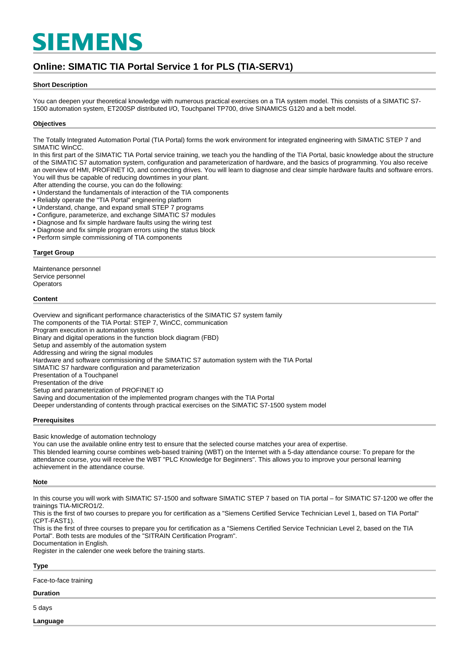# **SIEMENS**

## **Online: SIMATIC TIA Portal Service 1 for PLS (TIA-SERV1)**

#### **Short Description**

You can deepen your theoretical knowledge with numerous practical exercises on a TIA system model. This consists of a SIMATIC S7- 1500 automation system, ET200SP distributed I/O, Touchpanel TP700, drive SINAMICS G120 and a belt model.

#### **Objectives**

The Totally Integrated Automation Portal (TIA Portal) forms the work environment for integrated engineering with SIMATIC STEP 7 and SIMATIC WinCC.

In this first part of the SIMATIC TIA Portal service training, we teach you the handling of the TIA Portal, basic knowledge about the structure of the SIMATIC S7 automation system, configuration and parameterization of hardware, and the basics of programming. You also receive an overview of HMI, PROFINET IO, and connecting drives. You will learn to diagnose and clear simple hardware faults and software errors. You will thus be capable of reducing downtimes in your plant.

After attending the course, you can do the following:

- Understand the fundamentals of interaction of the TIA components
- Reliably operate the "TIA Portal" engineering platform
- Understand, change, and expand small STEP 7 programs
- Configure, parameterize, and exchange SIMATIC S7 modules
- Diagnose and fix simple hardware faults using the wiring test
- Diagnose and fix simple program errors using the status block
- Perform simple commissioning of TIA components

#### **Target Group**

Maintenance personnel Service personnel **Operators** 

#### **Content**

Overview and significant performance characteristics of the SIMATIC S7 system family The components of the TIA Portal: STEP 7, WinCC, communication Program execution in automation systems Binary and digital operations in the function block diagram (FBD) Setup and assembly of the automation system Addressing and wiring the signal modules Hardware and software commissioning of the SIMATIC S7 automation system with the TIA Portal SIMATIC S7 hardware configuration and parameterization Presentation of a Touchpanel Presentation of the drive Setup and parameterization of PROFINET IO Saving and documentation of the implemented program changes with the TIA Portal Deeper understanding of contents through practical exercises on the SIMATIC S7-1500 system model

#### **Prerequisites**

Basic knowledge of automation technology

You can use the available online entry test to ensure that the selected course matches your area of expertise. This blended learning course combines web-based training (WBT) on the Internet with a 5-day attendance course: To prepare for the attendance course, you will receive the WBT "PLC Knowledge for Beginners". This allows you to improve your personal learning achievement in the attendance course.

#### **Note**

In this course you will work with SIMATIC S7-1500 and software SIMATIC STEP 7 based on TIA portal – for SIMATIC S7-1200 we offer the trainings TIA-MICRO1/2.

This is the first of two courses to prepare you for certification as a "Siemens Certified Service Technician Level 1, based on TIA Portal" (CPT-FAST1).

This is the first of three courses to prepare you for certification as a "Siemens Certified Service Technician Level 2, based on the TIA Portal". Both tests are modules of the "SITRAIN Certification Program".

Documentation in English.

Register in the calender one week before the training starts.

**Type**

Face-to-face training

### **Duration**

5 days

**Language**